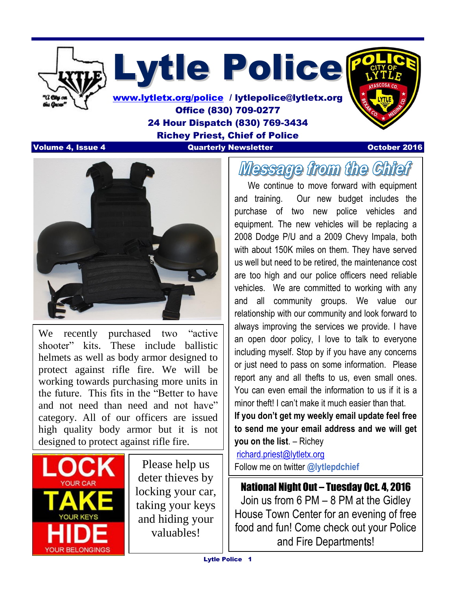

Lytle Police

[www.lytletx.org/police](http://www.lytletx.org/police) / lytlepolice@lytletx.org Office (830) 709-0277 24 Hour Dispatch (830) 769-3434 Richey Priest, Chief of Police **Volume 4, Issue 4 Quarterly Newsletter Construction Community Construction October 2016** 



We recently purchased two "active" shooter" kits. These include ballistic helmets as well as body armor designed to protect against rifle fire. We will be working towards purchasing more units in the future. This fits in the "Better to have and not need than need and not have" category. All of our officers are issued high quality body armor but it is not designed to protect against rifle fire.



  $\overline{\phantom{a}}$ 

> Please help us deter thieves by locking your car, taking your keys and hiding your valuables!

# Message from the Chief

 We continue to move forward with equipment and training. Our new budget includes the purchase of two new police vehicles and equipment. The new vehicles will be replacing a 2008 Dodge P/U and a 2009 Chevy Impala, both with about 150K miles on them. They have served us well but need to be retired, the maintenance cost are too high and our police officers need reliable vehicles. We are committed to working with any and all community groups. We value our relationship with our community and look forward to always improving the services we provide. I have an open door policy, I love to talk to everyone including myself. Stop by if you have any concerns or just need to pass on some information. Please report any and all thefts to us, even small ones. You can even email the information to us if it is a minor theft! I can't make it much easier than that.

**If you don't get my weekly email update feel free to send me your email address and we will get you on the list**. – Richey

[richard.priest@lytletx.org](mailto:richard.priest@lytletx.org) Follow me on twitter **@lytlepdchief**

National Night Out – Tuesday Oct. 4, 2016 Join us from 6 PM – 8 PM at the Gidley House Town Center for an evening of free food and fun! Come check out your Police and Fire Departments!